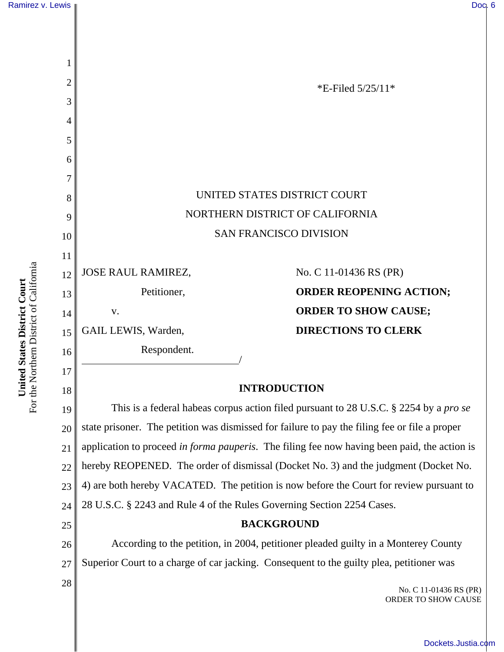

For the Northern District of California For the Northern District of California United States District Court **United States District Court**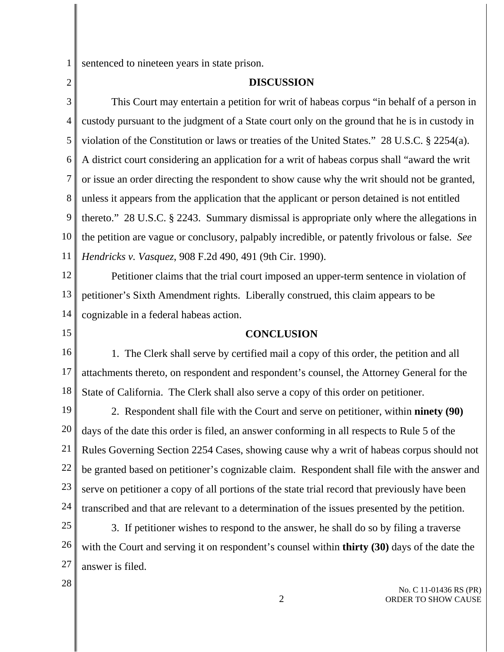1 sentenced to nineteen years in state prison.

## **DISCUSSION**

3 4 5 6 7 8 9 10 11 This Court may entertain a petition for writ of habeas corpus "in behalf of a person in custody pursuant to the judgment of a State court only on the ground that he is in custody in violation of the Constitution or laws or treaties of the United States." 28 U.S.C. § 2254(a). A district court considering an application for a writ of habeas corpus shall "award the writ or issue an order directing the respondent to show cause why the writ should not be granted, unless it appears from the application that the applicant or person detained is not entitled thereto." 28 U.S.C. § 2243. Summary dismissal is appropriate only where the allegations in the petition are vague or conclusory, palpably incredible, or patently frivolous or false. *See Hendricks v. Vasquez*, 908 F.2d 490, 491 (9th Cir. 1990).

12 13 14 Petitioner claims that the trial court imposed an upper-term sentence in violation of petitioner's Sixth Amendment rights. Liberally construed, this claim appears to be cognizable in a federal habeas action.

15

2

## **CONCLUSION**

16 17 18 1. The Clerk shall serve by certified mail a copy of this order, the petition and all attachments thereto, on respondent and respondent's counsel, the Attorney General for the State of California. The Clerk shall also serve a copy of this order on petitioner.

19 20 21 22 23 24 2. Respondent shall file with the Court and serve on petitioner, within **ninety (90)** days of the date this order is filed, an answer conforming in all respects to Rule 5 of the Rules Governing Section 2254 Cases, showing cause why a writ of habeas corpus should not be granted based on petitioner's cognizable claim. Respondent shall file with the answer and serve on petitioner a copy of all portions of the state trial record that previously have been transcribed and that are relevant to a determination of the issues presented by the petition.

25 26 27 3. If petitioner wishes to respond to the answer, he shall do so by filing a traverse with the Court and serving it on respondent's counsel within **thirty (30)** days of the date the answer is filed.

28